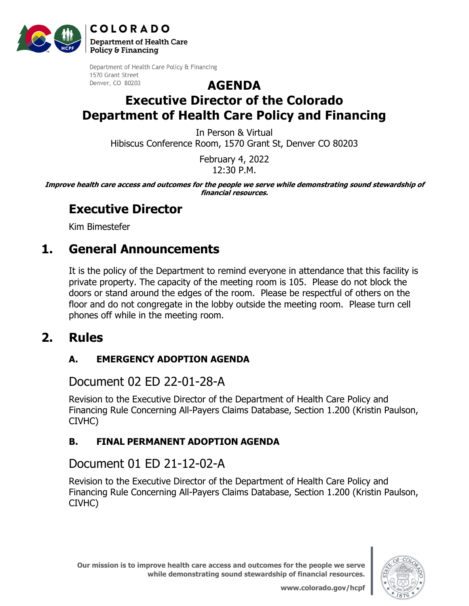**COLORADO Department of Health Care** 

Policy & Financing



Department of Health Care Policy & Financing 1570 Grant Street Denver, CO 80203

### **AGENDA Executive Director of the Colorado Department of Health Care Policy and Financing**

In Person & Virtual Hibiscus Conference Room, 1570 Grant St, Denver CO 80203

> February 4, 2022 12:30 P.M.

**Improve health care access and outcomes for the people we serve while demonstrating sound stewardship of financial resources.** 

## **Executive Director**

Kim Bimestefer

# **1. General Announcements**

It is the policy of the Department to remind everyone in attendance that this facility is private property. The capacity of the meeting room is 105. Please do not block the doors or stand around the edges of the room. Please be respectful of others on the floor and do not congregate in the lobby outside the meeting room. Please turn cell phones off while in the meeting room.

### **2. Rules**

### **A. EMERGENCY ADOPTION AGENDA**

### [Document 02 ED 22-01-28-A](https://hcpf.colorado.gov/sites/hcpf/files/ED%2022-01-28-A%20Emergency%20-%20Feb%202022.pdf)

Revision to the Executive Director of the Department of Health Care Policy and Financing Rule Concerning All-Payers Claims Database, Section 1.200 (Kristin Paulson, CIVHC)

#### **B. FINAL PERMANENT ADOPTION AGENDA**

### [Document 01 ED 21-12-02-A](https://hcpf.colorado.gov/sites/hcpf/files/ED%2021-12-02-A%20-%20Feb%202022.pdf)

Revision to the Executive Director of the Department of Health Care Policy and Financing Rule Concerning All-Payers Claims Database, Section 1.200 (Kristin Paulson, CIVHC)